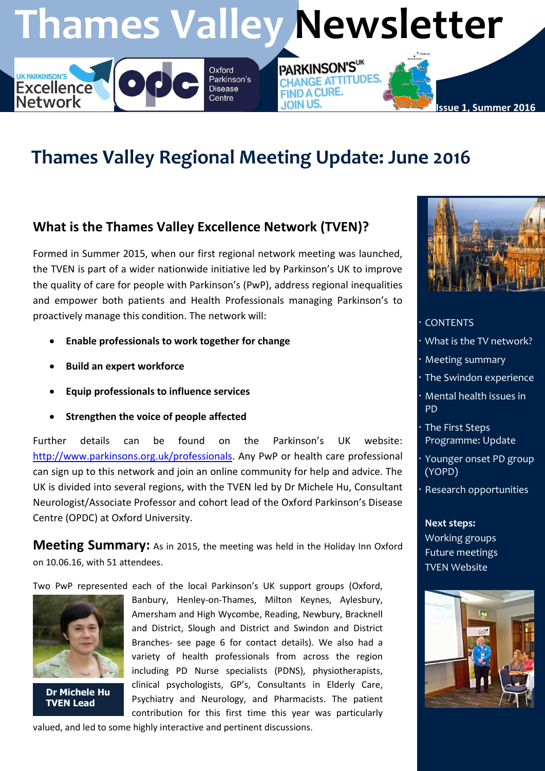# **Thames Valley Newsletter**

PARKINSON'SUK

**FIND A CURE.** 

**JOIN US.** 

**CHANGE ATTITUDES** 

# **Thames Valley Regional Meeting Update: June 2016**

### **What is the Thames Valley Excellence Network (TVEN)?**

Formed in Summer 2015, when our first regional network meeting was launched, the TVEN is part of a wider nationwide initiative led by Parkinson's UK to improve the quality of care for people with Parkinson's (PwP), address regional inequalities and empower both patients and Health Professionals managing Parkinson's to proactively manage this condition. The network will:

Oxford Parkinson's

**Disease** 

Centre

- **Enable professionals to work together for change**
- **Build an expert workforce**

**Excellence** 

**Network** 

- **Equip professionals to influence services**
- **Strengthen the voice of people affected**

Further details can be found on the Parkinson's UK website: [http://www.parkinsons.org.uk/professionals.](http://www.parkinsons.org.uk/professionals) Any PwP or health care professional can sign up to this network and join an online community for help and advice. The UK is divided into several regions, with the TVEN led by Dr Michele Hu, Consultant Neurologist/Associate Professor and cohort lead of the Oxford Parkinson's Disease Centre (OPDC) at Oxford University.

**Meeting Summary:** As in 2015, the meeting was held in the Holiday Inn Oxford on 10.06.16, with 51 attendees.

Two PwP represented each of the local Parkinson's UK support groups (Oxford,



**Dr Michele Hu TVEN Lead**

Banbury, Henley-on-Thames, Milton Keynes, Aylesbury, Amersham and High Wycombe, Reading, Newbury, Bracknell and District, Slough and District and Swindon and District Branches- see page 6 for contact details). We also had a variety of health professionals from across the region including PD Nurse specialists (PDNS), physiotherapists, clinical psychologists, GP's, Consultants in Elderly Care, Psychiatry and Neurology, and Pharmacists. The patient contribution for this first time this year was particularly



**Issue 1, Summer 2016**

#### **CONTENTS**

- What is the TV network?
- Meeting summary
- The Swindon experience
- Mental health issues in PD
- The First Steps Programme: Update
- Younger onset PD group (YOPD)
- Research opportunities

**Next steps:** Working groups Future meetings TVEN Website



valued, and led to some highly interactive and pertinent discussions.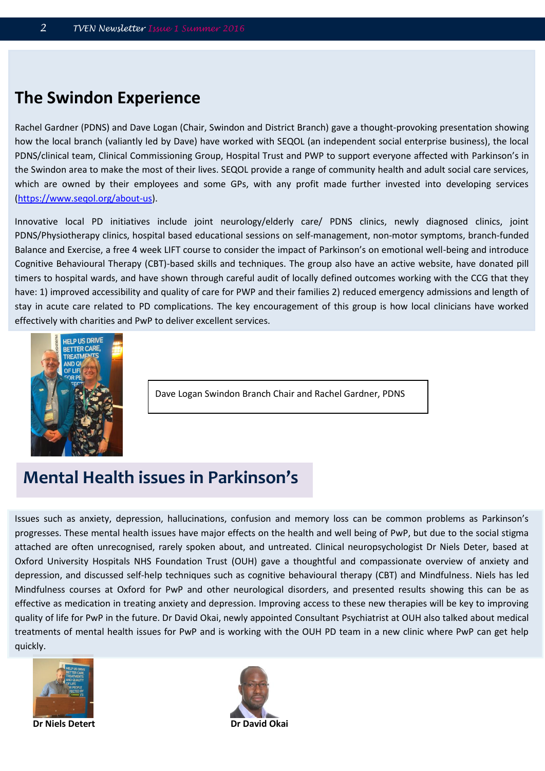### **The Swindon Experience**

Rachel Gardner (PDNS) and Dave Logan (Chair, Swindon and District Branch) gave a thought-provoking presentation showing how the local branch (valiantly led by Dave) have worked with SEQOL (an independent social enterprise business), the local PDNS/clinical team, Clinical Commissioning Group, Hospital Trust and PWP to support everyone affected with Parkinson's in the Swindon area to make the most of their lives. SEQOL provide a range of community health and adult social care services, which are owned by their employees and some GPs, with any profit made further invested into developing services [\(https://www.seqol.org/about-us\)](https://www.seqol.org/about-us).

Innovative local PD initiatives include joint neurology/elderly care/ PDNS clinics, newly diagnosed clinics, joint PDNS/Physiotherapy clinics, hospital based educational sessions on self-management, non-motor symptoms, branch-funded Balance and Exercise, a free 4 week LIFT course to consider the impact of Parkinson's on emotional well-being and introduce Cognitive Behavioural Therapy (CBT)-based skills and techniques. The group also have an active website, have donated pill timers to hospital wards, and have shown through careful audit of locally defined outcomes working with the CCG that they have: 1) improved accessibility and quality of care for PWP and their families 2) reduced emergency admissions and length of stay in acute care related to PD complications. The key encouragement of this group is how local clinicians have worked effectively with charities and PwP to deliver excellent services.



Dave Logan Swindon Branch Chair and Rachel Gardner, PDNS

### **Mental Health issues in Parkinson's**

Issues such as anxiety, depression, hallucinations, confusion and memory loss can be common problems as Parkinson's progresses. These mental health issues have major effects on the health and well being of PwP, but due to the social stigma attached are often unrecognised, rarely spoken about, and untreated. Clinical neuropsychologist Dr Niels Deter, based at Oxford University Hospitals NHS Foundation Trust (OUH) gave a thoughtful and compassionate overview of anxiety and depression, and discussed self-help techniques such as cognitive behavioural therapy (CBT) and Mindfulness. Niels has led Mindfulness courses at Oxford for PwP and other neurological disorders, and presented results showing this can be as effective as medication in treating anxiety and depression. Improving access to these new therapies will be key to improving quality of life for PwP in the future. Dr David Okai, newly appointed Consultant Psychiatrist at OUH also talked about medical treatments of mental health issues for PwP and is working with the OUH PD team in a new clinic where PwP can get help quickly.



**Dr Niels Detert Dr David Okai**

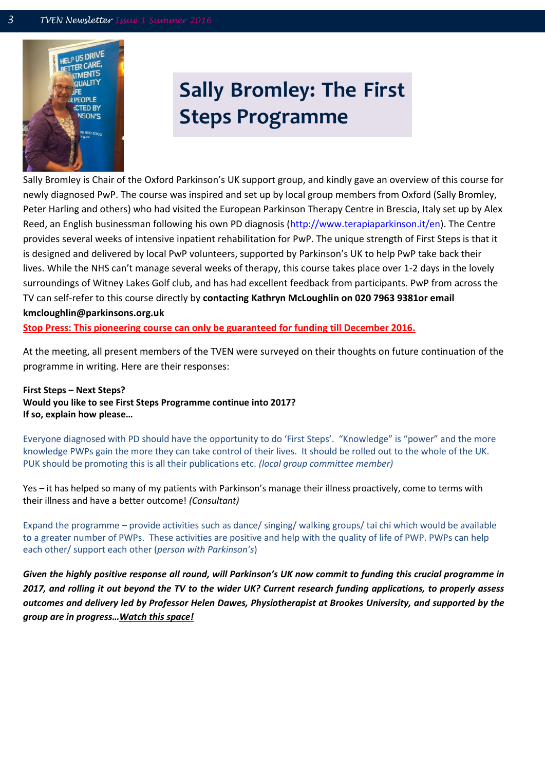

# **Sally Bromley: The First Steps Programme**

Sally Bromley is Chair of the Oxford Parkinson's UK support group, and kindly gave an overview of this course for newly diagnosed PwP. The course was inspired and set up by local group members from Oxford (Sally Bromley, Peter Harling and others) who had visited the European Parkinson Therapy Centre in Brescia, Italy set up by Alex Reed, an English businessman following his own PD diagnosis [\(http://www.terapiaparkinson.it/en\)](http://www.terapiaparkinson.it/en). The Centre provides several weeks of intensive inpatient rehabilitation for PwP. The unique strength of First Steps is that it is designed and delivered by local PwP volunteers, supported by Parkinson's UK to help PwP take back their lives. While the NHS can't manage several weeks of therapy, this course takes place over 1-2 days in the lovely surroundings of Witney Lakes Golf club, and has had excellent feedback from participants. PwP from across the TV can self-refer to this course directly by **contacting Kathryn McLoughlin on 020 7963 9381or email kmcloughlin@parkinsons.org.uk**

**Stop Press: This pioneering course can only be guaranteed for funding till December 2016.** 

At the meeting, all present members of the TVEN were surveyed on their thoughts on future continuation of the programme in writing. Here are their responses:

**First Steps – Next Steps? Would you like to see First Steps Programme continue into 2017? If so, explain how please…**

Everyone diagnosed with PD should have the opportunity to do 'First Steps'. "Knowledge" is "power" and the more knowledge PWPs gain the more they can take control of their lives. It should be rolled out to the whole of the UK. PUK should be promoting this is all their publications etc. *(local group committee member)*

Yes – it has helped so many of my patients with Parkinson's manage their illness proactively, come to terms with their illness and have a better outcome! *(Consultant)*

Expand the programme – provide activities such as dance/ singing/ walking groups/ tai chi which would be available to a greater number of PWPs. These activities are positive and help with the quality of life of PWP. PWPs can help each other/ support each other (*person with Parkinson's*)

*Given the highly positive response all round, will Parkinson's UK now commit to funding this crucial programme in 2017, and rolling it out beyond the TV to the wider UK? Current research funding applications, to properly assess outcomes and delivery led by Professor Helen Dawes, Physiotherapist at Brookes University, and supported by the group are in progress…Watch this space!*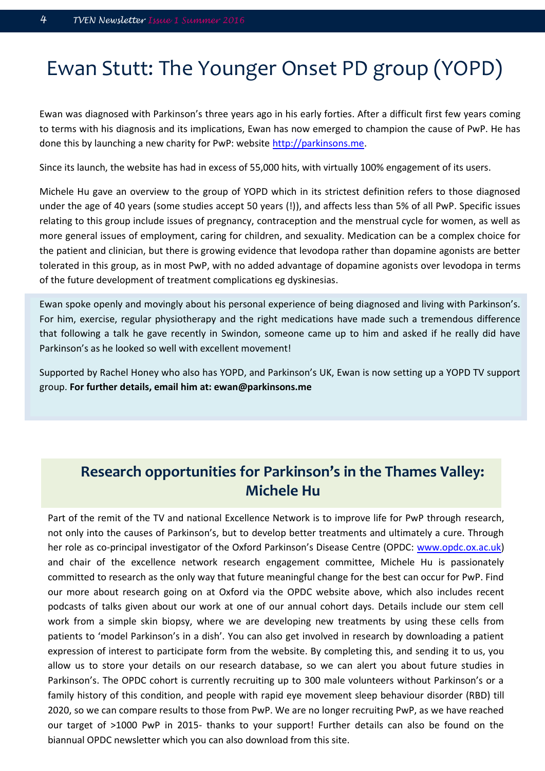# Ewan Stutt: The Younger Onset PD group (YOPD)

Ewan was diagnosed with Parkinson's three years ago in his early forties. After a difficult first few years coming to terms with his diagnosis and its implications, Ewan has now emerged to champion the cause of PwP. He has done this by launching a new charity for PwP: website [http://parkinsons.me.](http://parkinsons.me/)

Since its launch, the website has had in excess of 55,000 hits, with virtually 100% engagement of its users.

Michele Hu gave an overview to the group of YOPD which in its strictest definition refers to those diagnosed under the age of 40 years (some studies accept 50 years (!)), and affects less than 5% of all PwP. Specific issues relating to this group include issues of pregnancy, contraception and the menstrual cycle for women, as well as more general issues of employment, caring for children, and sexuality. Medication can be a complex choice for the patient and clinician, but there is growing evidence that levodopa rather than dopamine agonists are better tolerated in this group, as in most PwP, with no added advantage of dopamine agonists over levodopa in terms of the future development of treatment complications eg dyskinesias.

Ewan spoke openly and movingly about his personal experience of being diagnosed and living with Parkinson's. For him, exercise, regular physiotherapy and the right medications have made such a tremendous difference that following a talk he gave recently in Swindon, someone came up to him and asked if he really did have Parkinson's as he looked so well with excellent movement!

Supported by Rachel Honey who also has YOPD, and Parkinson's UK, Ewan is now setting up a YOPD TV support group. **For further details, email him at: ewan@parkinsons.me**

#### **Research opportunities for Parkinson's in the Thames Valley:**  might be disturbed well before the disturbed well before the disease, and to address the disturbed well before the<br>Michele Books the disease, Paul Dodson, Paul Dodson, Paul Dodson, Paul Dodson, Paul Dodson, Paul Dodson, Pa  $\blacksquare$  . Research opportunities for Parkinson's in the Thames valley:

Part of the remit of the TV and national Excellence Network is to improve life for PwP through research, not only into the causes of Parkinson's, but to develop better treatments and ultimately a cure. Through her role as co-principal investigator of the Oxford Parkinson's Disease Centre (OPDC: www.opdc.ox.ac.uk) and chair of the excellence network research engagement committee, Michele Hu is passionately committed to research as the only way that future meaningful change for the best can occur for PwP. Find our more about research going on at Oxford via the OPDC website above, which also includes recent podcasts of talks given about our work at one of our annual cohort days. Details include our stem cell work from a simple skin biopsy, where we are developing new treatments by using these cells from patients to 'model Parkinson's in a dish'. You can also get involved in research by downloading a patient expression of interest to participate form from the website. By completing this, and sending it to us, you allow us to store your details on our research database, so we can alert you about future studies in Parkinson's. The OPDC cohort is currently recruiting up to 300 male volunteers without Parkinson's or a family history of this condition, and people with rapid eye movement sleep behaviour disorder (RBD) till 2020, so we can compare results to those from PwP. We are no longer recruiting PwP, as we have reached our target of >1000 PwP in 2015- thanks to your support! Further details can also be found on the biannual OPDC newsletter which you can also download from this site.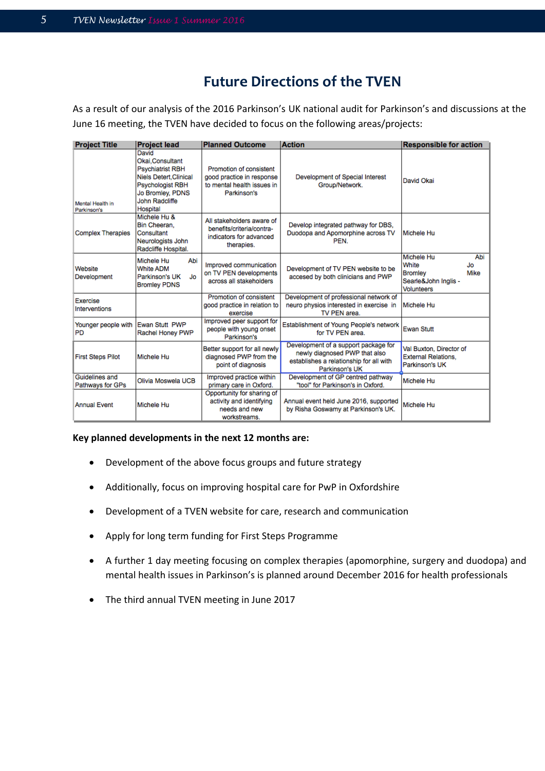### **Future Directions of the TVEN**

As a result of our analysis of the 2016 Parkinson's UK national audit for Parkinson's and discussions at the June 16 meeting, the TVEN have decided to focus on the following areas/projects:

| <b>Project Title</b>               | <b>Project lead</b>                                                                                                                                              | <b>Planned Outcome</b>                                                                            | <b>Action</b>                                                                                                                      | <b>Responsible for action</b>                                                                            |
|------------------------------------|------------------------------------------------------------------------------------------------------------------------------------------------------------------|---------------------------------------------------------------------------------------------------|------------------------------------------------------------------------------------------------------------------------------------|----------------------------------------------------------------------------------------------------------|
| Mental Health in<br>Parkinson's    | David<br>Okai.Consultant<br><b>Psychiatrist RBH</b><br><b>Niels Detert.Clinical</b><br><b>Psychologist RBH</b><br>Jo Bromley, PDNS<br>John Radcliffe<br>Hospital | Promotion of consistent<br>good practice in response<br>to mental health issues in<br>Parkinson's | Development of Special Interest<br>Group/Network.                                                                                  | David Okai                                                                                               |
| <b>Complex Therapies</b>           | Michele Hu &<br>Bin Cheeran,<br>Consultant<br>Neurologists John<br>Radcliffe Hospital.                                                                           | All stakeholders aware of<br>benefits/criteria/contra-<br>indicators for advanced<br>therapies.   | Develop integrated pathway for DBS,<br>Duodopa and Apomorphine across TV<br>PEN.                                                   | Michele Hu                                                                                               |
| Website<br>Development             | Abi<br>Michele Hu<br><b>White ADM</b><br>Parkinson's UK<br>Jo<br><b>Bromley PDNS</b>                                                                             | Improved communication<br>on TV PEN developments<br>across all stakeholders                       | Development of TV PEN website to be<br>accesed by both clinicians and PWP                                                          | Michele Hu<br>Abi<br>White<br>Jo.<br><b>Bromley</b><br>Mike<br>Searle&John Inglis -<br><b>Volunteers</b> |
| Exercise<br>Interventions          |                                                                                                                                                                  | Promotion of consistent<br>good practice in relation to<br>exercise                               | Development of professional network of<br>neuro physios interested in exercise in<br>TV PEN area.                                  | Michele Hu                                                                                               |
| Younger people with<br>PD          | Ewan Stutt PWP<br>Rachel Honey PWP                                                                                                                               | Improved peer support for<br>people with young onset<br>Parkinson's                               | Establishment of Young People's network<br>for TV PEN area.                                                                        | <b>Ewan Stutt</b>                                                                                        |
| <b>First Steps Pilot</b>           | Michele Hu                                                                                                                                                       | Better support for all newly<br>diagnosed PWP from the<br>point of diagnosis                      | Development of a support package for<br>newly diagnosed PWP that also<br>establishes a relationship for all with<br>Parkinson's UK | Val Buxton, Director of<br><b>External Relations.</b><br>Parkinson's UK                                  |
| Guidelines and<br>Pathways for GPs | Olivia Moswela UCB                                                                                                                                               | Improved practice within<br>primary care in Oxford.                                               | Development of GP centred pathway<br>"tool" for Parkinson's in Oxford.                                                             | Michele Hu                                                                                               |
| <b>Annual Event</b>                | Michele Hu                                                                                                                                                       | Opportunity for sharing of<br>activity and identifying<br>needs and new<br>workstreams.           | Annual event held June 2016, supported<br>by Risha Goswamy at Parkinson's UK.                                                      | Michele Hu                                                                                               |

#### **Key planned developments in the next 12 months are:**

- Development of the above focus groups and future strategy
- Additionally, focus on improving hospital care for PwP in Oxfordshire
- Development of a TVEN website for care, research and communication
- Apply for long term funding for First Steps Programme
- A further 1 day meeting focusing on complex therapies (apomorphine, surgery and duodopa) and mental health issues in Parkinson's is planned around December 2016 for health professionals
- The third annual TVEN meeting in June 2017